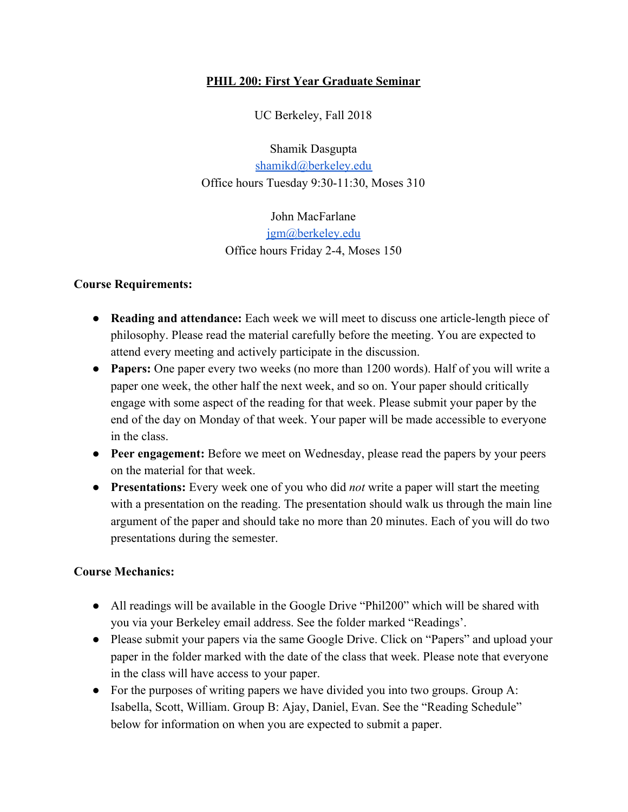## **PHIL 200: First Year Graduate Seminar**

UC Berkeley, Fall 2018

Shamik Dasgupta [shamikd@berkeley.edu](mailto:shamikd@berkeley.edu) Office hours Tuesday 9:30-11:30, Moses 310

> John MacFarlane [jgm@berkeley.edu](mailto:jgm@berkeley.edu) Office hours Friday 2-4, Moses 150

## **Course Requirements:**

- **● Reading and attendance:** Each week we will meet to discuss one article-length piece of philosophy. Please read the material carefully before the meeting. You are expected to attend every meeting and actively participate in the discussion.
- **● Papers:** One paper every two weeks (no more than 1200 words). Half of you will write a paper one week, the other half the next week, and so on. Your paper should critically engage with some aspect of the reading for that week. Please submit your paper by the end of the day on Monday of that week. Your paper will be made accessible to everyone in the class.
- **● Peer engagement:** Before we meet on Wednesday, please read the papers by your peers on the material for that week.
- **● Presentations:** Every week one of you who did *not* write a paper will start the meeting with a presentation on the reading. The presentation should walk us through the main line argument of the paper and should take no more than 20 minutes. Each of you will do two presentations during the semester.

## **Course Mechanics:**

- All readings will be available in the Google Drive "Phil200" which will be shared with you via your Berkeley email address. See the folder marked "Readings'.
- Please submit your papers via the same Google Drive. Click on "Papers" and upload your paper in the folder marked with the date of the class that week. Please note that everyone in the class will have access to your paper.
- For the purposes of writing papers we have divided you into two groups. Group A: Isabella, Scott, William. Group B: Ajay, Daniel, Evan. See the "Reading Schedule" below for information on when you are expected to submit a paper.